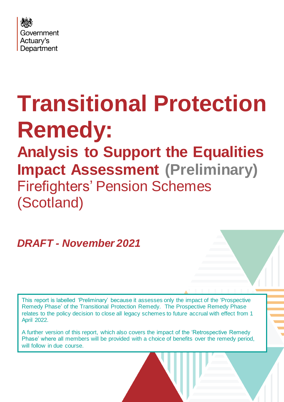

# **Transitional Protection Remedy: Analysis to Support the Equalities Impact Assessment (Preliminary)** Firefighters' Pension Schemes (Scotland)

## *DRAFT - November 2021*

This report is labelled 'Preliminary' because it assesses only the impact of the 'Prospective Remedy Phase' of the Transitional Protection Remedy. The Prospective Remedy Phase relates to the policy decision to close all legacy schemes to future accrual with effect from 1 April 2022.

A further version of this report, which also covers the impact of the 'Retrospective Remedy Phase' where all members will be provided with a choice of benefits over the remedy period, will follow in due course.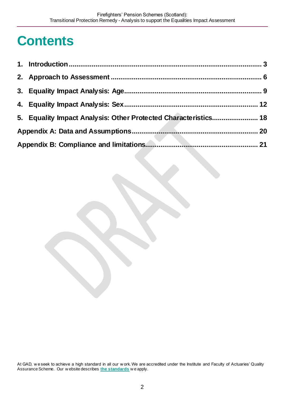# **Contents**

| 5. Equality Impact Analysis: Other Protected Characteristics 18 |  |
|-----------------------------------------------------------------|--|
|                                                                 |  |
|                                                                 |  |

At GAD, w e seek to achieve a high standard in all our w ork. We are accredited under the Institute and Faculty of Actuaries' Quality Assurance Scheme. Our w ebsite describes **[the standards](https://www.gov.uk/government/organisations/government-actuarys-department/about/terms-of-reference)** w e apply.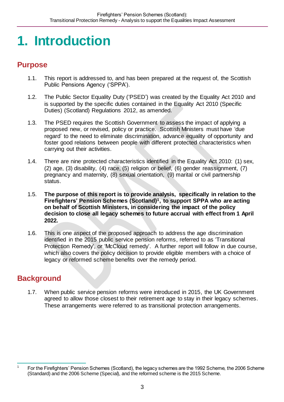# <span id="page-2-0"></span>**1. Introduction**

## **Purpose**

- 1.1. This report is addressed to, and has been prepared at the request of, the Scottish Public Pensions Agency ('SPPA').
- 1.2. The Public Sector Equality Duty ('PSED') was created by the Equality Act 2010 and is supported by the specific duties contained in the Equality Act 2010 (Specific Duties) (Scotland) Regulations 2012, as amended.
- 1.3. The PSED requires the Scottish Government to assess the impact of applying a proposed new, or revised, policy or practice. Scottish Ministers must have 'due regard' to the need to eliminate discrimination, advance equality of opportunity and foster good relations between people with different protected characteristics when carrying out their activities.
- 1.4. There are nine protected characteristics identified in the Equality Act 2010: (1) sex, (2) age, (3) disability, (4) race, (5) religion or belief, (6) gender reassignment, (7) pregnancy and maternity, (8) sexual orientation, (9) marital or civil partnership status.
- 1.5. **The purpose of this report is to provide analysis, specifically in relation to the Firefighters' Pension Schemes (Scotland)1, to support SPPA who are acting on behalf of Scottish Ministers, in considering the impact of the policy decision to close all legacy schemes to future accrual with effect from 1 April 2022.**
- 1.6. This is one aspect of the proposed approach to address the age discrimination identified in the 2015 public service pension reforms, referred to as 'Transitional Protection Remedy', or 'McCloud remedy'. A further report will follow in due course, which also covers the policy decision to provide eligible members with a choice of legacy or reformed scheme benefits over the remedy period.

## **Background**

1.7. When public service pension reforms were introduced in 2015, the UK Government agreed to allow those closest to their retirement age to stay in their legacy schemes. These arrangements were referred to as transitional protection arrangements.

 $\overline{1}$ For the Firefighters' Pension Schemes (Scotland), the legacy schemes are the 1992 Scheme, the 2006 Scheme (Standard) and the 2006 Scheme (Special), and the reformed scheme is the 2015 Scheme.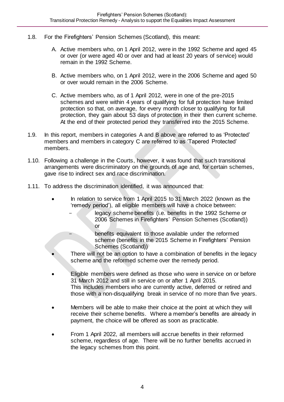- 1.8. For the Firefighters' Pension Schemes (Scotland), this meant:
	- A. Active members who, on 1 April 2012, were in the 1992 Scheme and aged 45 or over (or were aged 40 or over and had at least 20 years of service) would remain in the 1992 Scheme.
	- B. Active members who, on 1 April 2012, were in the 2006 Scheme and aged 50 or over would remain in the 2006 Scheme.
	- C. Active members who, as of 1 April 2012, were in one of the pre-2015 schemes and were within 4 years of qualifying for full protection have limited protection so that, on average, for every month closer to qualifying for full protection, they gain about 53 days of protection in their then current scheme. At the end of their protected period they transferred into the 2015 Scheme.
- 1.9. In this report, members in categories A and B above are referred to as 'Protected' members and members in category C are referred to as 'Tapered Protected' members.
- 1.10. Following a challenge in the Courts, however, it was found that such transitional arrangements were discriminatory on the grounds of age and, for certain schemes, gave rise to indirect sex and race discrimination.
- 1.11. To address the discrimination identified, it was announced that:
	- In relation to service from 1 April 2015 to 31 March 2022 (known as the 'remedy period'), all eligible members will have a choice between:
		- legacy scheme benefits (i.e. benefits in the 1992 Scheme or 2006 Schemes in Firefighters' Pension Schemes (Scotland)) or

benefits equivalent to those available under the reformed scheme (benefits in the 2015 Scheme in Firefighters' Pension Schemes (Scotland))

- There will not be an option to have a combination of benefits in the legacy scheme and the reformed scheme over the remedy period.
- Eligible members were defined as those who were in service on or before 31 March 2012 and still in service on or after 1 April 2015. This includes members who are currently active, deferred or retired and those with a non-disqualifying break in service of no more than five years.
- Members will be able to make their choice at the point at which they will receive their scheme benefits. Where a member's benefits are already in payment, the choice will be offered as soon as practicable.
- From 1 April 2022, all members will accrue benefits in their reformed scheme, regardless of age. There will be no further benefits accrued in the legacy schemes from this point.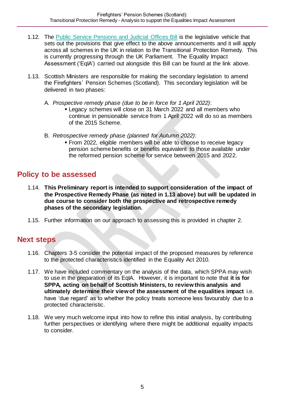- 1.12. The [Public Service Pensions](https://bills.parliament.uk/bills/3032) and Judicial Offices Bill is the legislative vehicle that sets out the provisions that give effect to the above announcements and it will apply across all schemes in the UK in relation to the Transitional Protection Remedy. This is currently progressing through the UK Parliament. The Equality Impact Assessment ('EqIA') carried out alongside this Bill can be found at the link above.
- 1.13. Scottish Ministers are responsible for making the secondary legislation to amend the Firefighters' Pension Schemes (Scotland). This secondary legislation will be delivered in two phases:
	- A. *Prospective remedy phase (due to be in force for 1 April 2022)*:
		- Legacy schemes will close on 31 March 2022 and all members who continue in pensionable service from 1 April 2022 will do so as members of the 2015 Scheme.
	- B. *Retrospective remedy phase (planned for Autumn 2022)*:
		- From 2022, eligible members will be able to choose to receive legacy pension scheme benefits or benefits equivalent to those available under the reformed pension scheme for service between 2015 and 2022.

## **Policy to be assessed**

- 1.14. **This Preliminary report is intended to support consideration of the impact of the Prospective Remedy Phase (as noted in 1.13 above) but will be updated in due course to consider both the prospective and retrospective remedy phases of the secondary legislation.**
- 1.15. Further information on our approach to assessing this is provided in chapter 2.

### **Next steps**

- 1.16. Chapters 3-5 consider the potential impact of the proposed measures by reference to the protected characteristics identified in the Equality Act 2010.
- 1.17. We have included commentary on the analysis of the data, which SPPA may wish to use in the preparation of its EqIA. However, it is important to note that **it is for SPPA, acting on behalf of Scottish Ministers, to review this analysis and ultimately determine their view of the assessment of the equalities impact** i.e. have 'due regard' as to whether the policy treats someone less favourably due to a protected characteristic.
- 1.18. We very much welcome input into how to refine this initial analysis, by contributing further perspectives or identifying where there might be additional equality impacts to consider.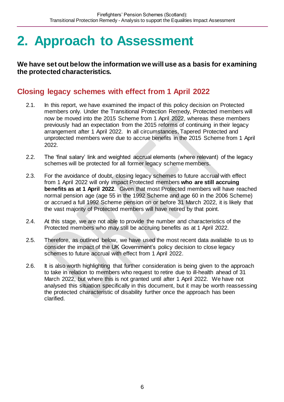# <span id="page-5-0"></span>**2. Approach to Assessment**

**We have set out below the information we will use as a basis for examining the protected characteristics.**

## **Closing legacy schemes with effect from 1 April 2022**

- 2.1. In this report, we have examined the impact of this policy decision on Protected members only. Under the Transitional Protection Remedy, Protected members will now be moved into the 2015 Scheme from 1 April 2022, whereas these members previously had an expectation from the 2015 reforms of continuing in their legacy arrangement after 1 April 2022. In all circumstances, Tapered Protected and unprotected members were due to accrue benefits in the 2015 Scheme from 1 April 2022.
- 2.2. The 'final salary' link and weighted accrual elements (where relevant) of the legacy schemes will be protected for all former legacy scheme members.
- 2.3. For the avoidance of doubt, closing legacy schemes to future accrual with effect from 1 April 2022 will only impact Protected members **who are still accruing benefits as at 1 April 2022**. Given that most Protected members will have reached normal pension age (age 55 in the 1992 Scheme and age 60 in the 2006 Scheme) or accrued a full 1992 Scheme pension on or before 31 March 2022, it is likely that the vast majority of Protected members will have retired by that point.
- 2.4. At this stage, we are not able to provide the number and characteristics of the Protected members who may still be accruing benefits as at 1 April 2022.
- 2.5. Therefore, as outlined below, we have used the most recent data available to us to consider the impact of the UK Government's policy decision to close legacy schemes to future accrual with effect from 1 April 2022.
- 2.6. It is also worth highlighting that further consideration is being given to the approach to take in relation to members who request to retire due to ill-health ahead of 31 March 2022, but where this is not granted until after 1 April 2022. We have not analysed this situation specifically in this document, but it may be worth reassessing the protected characteristic of disability further once the approach has been clarified.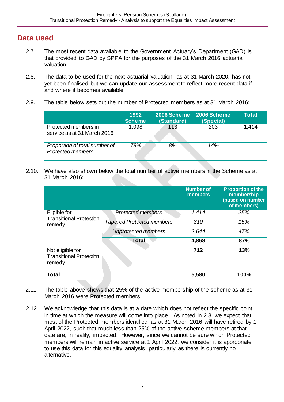## **Data used**

- 2.7. The most recent data available to the Government Actuary's Department (GAD) is that provided to GAD by SPPA for the purposes of the 31 March 2016 actuarial valuation.
- 2.8. The data to be used for the next actuarial valuation, as at 31 March 2020, has not yet been finalised but we can update our assessment to reflect more recent data if and where it becomes available.
- 2.9. The table below sets out the number of Protected members as at 31 March 2016:

|                                                           | 1992<br><b>Scheme</b> | <b>2006 Scheme</b><br>(Standard) | 2006 Scheme<br>(Special) | Total |
|-----------------------------------------------------------|-----------------------|----------------------------------|--------------------------|-------|
| Protected members in<br>service as at 31 March 2016       | 1,098                 | 113                              | 203                      | 1,414 |
| Proportion of total number of<br><b>Protected members</b> | 78%                   | 8%                               | 14%                      |       |

2.10. We have also shown below the total number of active members in the Scheme as at 31 March 2016:

|                                                              |                                  | <b>Number of</b><br>members | <b>Proportion of the</b><br>membership<br>(based on number<br>of members) |
|--------------------------------------------------------------|----------------------------------|-----------------------------|---------------------------------------------------------------------------|
| Eligible for<br><b>Transitional Protection</b>               | <b>Protected members</b>         | 1,414                       | 25%                                                                       |
| remedy                                                       | <b>Tapered Protected members</b> | 810                         | 15%                                                                       |
|                                                              | <b>Unprotected members</b>       | 2,644                       | 47%                                                                       |
|                                                              | <b>Total</b>                     | 4,868                       | 87%                                                                       |
| Not eligible for<br><b>Transitional Protection</b><br>remedy |                                  | 712                         | 13%                                                                       |
| <b>Total</b>                                                 |                                  | 5,580                       | 100%                                                                      |

- 2.11. The table above shows that 25% of the active membership of the scheme as at 31 March 2016 were Protected members.
- 2.12. We acknowledge that this data is at a date which does not reflect the specific point in time at which the measure will come into place. As noted in 2.3, we expect that most of the Protected members identified as at 31 March 2016 will have retired by 1 April 2022, such that much less than 25% of the active scheme members at that date are, in reality, impacted. However, since we cannot be sure which Protected members will remain in active service at 1 April 2022, we consider it is appropriate to use this data for this equality analysis, particularly as there is currently no alternative.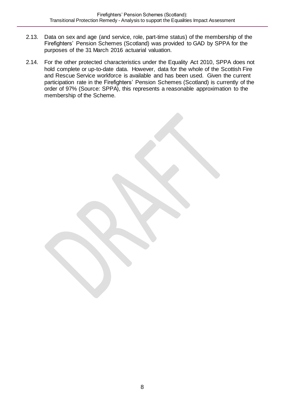- 2.13. Data on sex and age (and service, role, part-time status) of the membership of the Firefighters' Pension Schemes (Scotland) was provided to GAD by SPPA for the purposes of the 31 March 2016 actuarial valuation.
- 2.14. For the other protected characteristics under the Equality Act 2010, SPPA does not hold complete or up-to-date data. However, data for the whole of the Scottish Fire and Rescue Service workforce is available and has been used. Given the current participation rate in the Firefighters' Pension Schemes (Scotland) is currently of the order of 97% (Source: SPPA), this represents a reasonable approximation to the membership of the Scheme.

8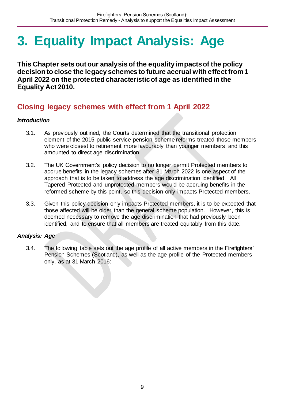# <span id="page-8-0"></span>**3. Equality Impact Analysis: Age**

**This Chapter sets out our analysis of the equality impacts of the policy decision to close the legacy schemes to future accrual with effect from 1 April 2022 on the protected characteristic of age as identified in the Equality Act 2010.**

## **Closing legacy schemes with effect from 1 April 2022**

#### *Introduction*

- 3.1. As previously outlined, the Courts determined that the transitional protection element of the 2015 public service pension scheme reforms treated those members who were closest to retirement more favourably than younger members, and this amounted to direct age discrimination.
- 3.2. The UK Government's policy decision to no longer permit Protected members to accrue benefits in the legacy schemes after 31 March 2022 is one aspect of the approach that is to be taken to address the age discrimination identified. All Tapered Protected and unprotected members would be accruing benefits in the reformed scheme by this point, so this decision only impacts Protected members.
- 3.3. Given this policy decision only impacts Protected members, it is to be expected that those affected will be older than the general scheme population. However, this is deemed necessary to remove the age discrimination that had previously been identified, and to ensure that all members are treated equitably from this date.

#### *Analysis: Age*

3.4. The following table sets out the age profile of all active members in the Firefighters' Pension Schemes (Scotland), as well as the age profile of the Protected members only, as at 31 March 2016: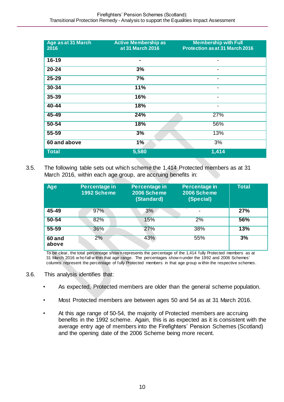| <b>Age as at 31 March</b><br>2016 | <b>Active Membership as</b><br>at 31 March 2016 | <b>Membership with Full</b><br><b>Protection as at 31 March 2016</b> |
|-----------------------------------|-------------------------------------------------|----------------------------------------------------------------------|
| $16 - 19$                         | -                                               | $\blacksquare$                                                       |
| $20 - 24$                         | 3%                                              | -                                                                    |
| 25-29                             | 7%                                              | $\qquad \qquad \blacksquare$                                         |
| 30-34                             | 11%                                             | $\blacksquare$                                                       |
| $35 - 39$                         | 16%                                             | $\blacksquare$                                                       |
| $40 - 44$                         | 18%                                             | $\blacksquare$                                                       |
| $45 - 49$                         | 24%                                             | 27%                                                                  |
| $50 - 54$                         | 18%                                             | 56%                                                                  |
| $55 - 59$                         | 3%                                              | 13%                                                                  |
| 60 and above                      | 1%                                              | 3%                                                                   |
| <b>Total</b>                      | 5,580                                           | 1,414                                                                |

3.5. The following table sets out which scheme the 1,414 Protected members as at 31 March 2016, within each age group, are accruing benefits in:

| <b>Age</b>      | Percentage in<br>1992 Scheme | Percentage in<br>2006 Scheme<br>(Standard) | Percentage in<br>2006 Scheme<br>(Special) | <b>Total</b> |
|-----------------|------------------------------|--------------------------------------------|-------------------------------------------|--------------|
| 45-49           | 97%                          | 3%                                         |                                           | 27%          |
| $50 - 54$       | 82%                          | 15%                                        | 2%                                        | 56%          |
| $55 - 59$       | 36%                          | 27%                                        | 38%                                       | 13%          |
| 60 and<br>above | 2%                           | 43%                                        | 55%                                       | 3%           |

To be clear, the total percentage show n represents the percentage of the 1,414 fully Protected members as at 31 March 2016 w ho fall w ithin that age range. The percentages show n under the 1992 and 2006 Schemes' columns represent the percentage of fully Protected members in that age group w ithin the respective schemes.

- 3.6. This analysis identifies that:
	- As expected, Protected members are older than the general scheme population.
	- Most Protected members are between ages 50 and 54 as at 31 March 2016.
	- At this age range of 50-54, the majority of Protected members are accruing benefits in the 1992 scheme. Again, this is as expected as it is consistent with the average entry age of members into the Firefighters' Pension Schemes (Scotland) and the opening date of the 2006 Scheme being more recent.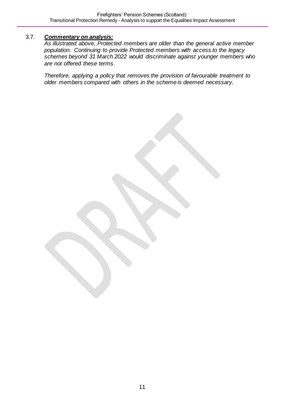#### 3.7. *Commentary on analysis:*

*As illustrated above, Protected members are older than the general active member population. Continuing to provide Protected members with access to the legacy schemes beyond 31 March 2022 would discriminate against younger members who are not offered these terms.* 

*Therefore, applying a policy that removes the provision of favourable treatment to older members compared with others in the scheme is deemed necessary.*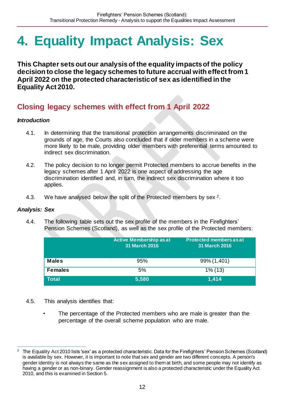# <span id="page-11-0"></span>**4. Equality Impact Analysis: Sex**

**This Chapter sets out our analysis of the equality impacts of the policy decision to close the legacy schemes to future accrual with effect from 1 April 2022 on the protected characteristic of sex as identified in the Equality Act 2010.**

## **Closing legacy schemes with effect from 1 April 2022**

#### *Introduction*

- 4.1. In determining that the transitional protection arrangements discriminated on the grounds of age, the Courts also concluded that if older members in a scheme were more likely to be male, providing older members with preferential terms amounted to indirect sex discrimination.
- 4.2. The policy decision to no longer permit Protected members to accrue benefits in the legacy schemes after 1 April 2022 is one aspect of addressing the age discrimination identified and, in turn, the indirect sex discrimination where it too applies.
- 4.3. We have analysed below the split of the Protected members by sex <sup>2</sup>.

#### *Analysis: Sex*

4.4. The following table sets out the sex profile of the members in the Firefighters' Pension Schemes (Scotland), as well as the sex profile of the Protected members:

|                | Active Membership as at<br>31 March 2016 | <b>Protected members as at</b><br><b>31 March 2016</b> |
|----------------|------------------------------------------|--------------------------------------------------------|
| <b>Males</b>   | 95%                                      | 99% (1,401)                                            |
| <b>Females</b> | 5%                                       | $1\%$ (13)                                             |
| <b>Total</b>   | 5,580                                    | 1,414                                                  |

- 4.5. This analysis identifies that:
	- The percentage of the Protected members who are male is greater than the percentage of the overall scheme population who are male.

 $\overline{a}$ <sup>2</sup> The Equality Act 2010 lists 'sex' as a protected characteristic. Data for the Firefighters' Pension Schemes (Scotland) is available by sex. However, it is important to note that sex and gender are two different concepts. A person's gender identity is not always the same as the sex assigned to them at birth, and some people may not identify as having a gender or as non-binary. Gender reassignment is also a protected characteristic under the Equality Act 2010, and this is examined in Section 5.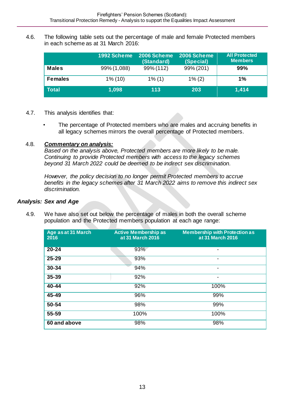4.6. The following table sets out the percentage of male and female Protected members in each scheme as at 31 March 2016:

|                | 1992 Scheme | 2006 Scheme<br>(Standard) | 2006 Scheme<br>(Special) | <b>All Protected</b><br><b>Members</b> |
|----------------|-------------|---------------------------|--------------------------|----------------------------------------|
| <b>Males</b>   | 99% (1,088) | 99% (112)                 | 99% (201)                | 99%                                    |
| <b>Females</b> | $1\%$ (10)  | $1\%$ (1)                 | $1\%$ (2)                | $1\%$                                  |
| <b>Total</b>   | 1,098       | 113                       | 203                      | 1,414                                  |

- 4.7. This analysis identifies that:
	- The percentage of Protected members who are males and accruing benefits in all legacy schemes mirrors the overall percentage of Protected members.

#### 4.8. *Commentary on analysis:*

*Based on the analysis above, Protected members are more likely to be male. Continuing to provide Protected members with access to the legacy schemes beyond 31 March 2022 could be deemed to be indirect sex discrimination.* 

*However, the policy decision to no longer permit Protected members to accrue benefits in the legacy schemes after 31 March 2022 aims to remove this indirect sex discrimination.*

#### *Analysis: Sex and Age*

4.9. We have also set out below the percentage of males in both the overall scheme population and the Protected members population at each age range:

| Age as at 31 March<br>2016 | <b>Active Membership as</b><br>at 31 March 2016 | <b>Membership with Protection as</b><br>at 31 March 2016 |
|----------------------------|-------------------------------------------------|----------------------------------------------------------|
| $20 - 24$                  | 93%                                             | -                                                        |
| $25 - 29$                  | 93%                                             | -                                                        |
| 30-34                      | 94%                                             | ٠                                                        |
| 35-39                      | 92%                                             | -                                                        |
| $40 - 44$                  | 92%                                             | 100%                                                     |
| 45-49                      | 96%                                             | 99%                                                      |
| 50-54                      | 98%                                             | 99%                                                      |
| 55-59                      | 100%                                            | 100%                                                     |
| 60 and above               | 98%                                             | 98%                                                      |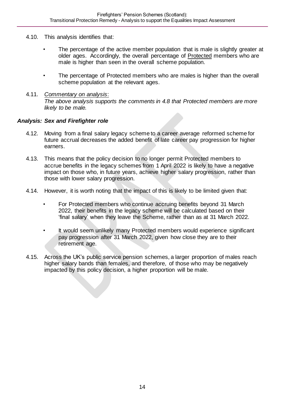- 4.10. This analysis identifies that:
	- The percentage of the active member population that is male is slightly greater at older ages. Accordingly, the overall percentage of Protected members who are male is higher than seen in the overall scheme population.
	- The percentage of Protected members who are males is higher than the overall scheme population at the relevant ages.
- 4.11. *Commentary on analysis*: *The above analysis supports the comments in 4.8 that Protected members are more likely to be male.*

#### *Analysis: Sex and Firefighter role*

- 4.12. Moving from a final salary legacy scheme to a career average reformed scheme for future accrual decreases the added benefit of late career pay progression for higher earners.
- 4.13. This means that the policy decision to no longer permit Protected members to accrue benefits in the legacy schemes from 1 April 2022 is likely to have a negative impact on those who, in future years, achieve higher salary progression, rather than those with lower salary progression.
- 4.14. However, it is worth noting that the impact of this is likely to be limited given that:
	- For Protected members who continue accruing benefits beyond 31 March 2022, their benefits in the legacy scheme will be calculated based on their 'final salary' when they leave the Scheme, rather than as at 31 March 2022.
	- It would seem unlikely many Protected members would experience significant pay progression after 31 March 2022, given how close they are to their retirement age.
- 4.15. Across the UK's public service pension schemes, a larger proportion of males reach higher salary bands than females, and therefore, of those who may be negatively impacted by this policy decision, a higher proportion will be male.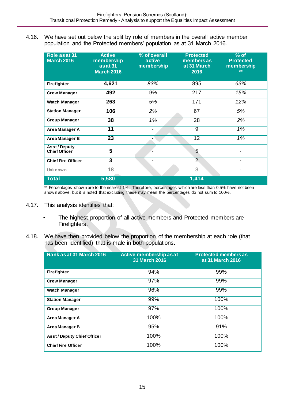4.16. We have set out below the split by role of members in the overall active member population and the Protected members' population as at 31 March 2016.

| Role as at 31<br><b>March 2016</b>         | <b>Active</b><br>membership<br>asat 31<br><b>March 2016</b> | % of overall<br>active<br>membership | <b>Protected</b><br><b>members as</b><br>at 31 March<br>2016 | $%$ of<br><b>Protected</b><br>membership<br>** |
|--------------------------------------------|-------------------------------------------------------------|--------------------------------------|--------------------------------------------------------------|------------------------------------------------|
| Firefighter                                | 4,621                                                       | 83%                                  | 895                                                          | 63%                                            |
| <b>Crew Manager</b>                        | 492                                                         | 9%                                   | 217                                                          | 15%                                            |
| Watch Manager                              | 263                                                         | 5%                                   | 171                                                          | 12%                                            |
| <b>Station Manager</b>                     | 106                                                         | 2%                                   | 67                                                           | 5%                                             |
| <b>Group Manager</b>                       | 38                                                          | $1\%$                                | $\overline{28}$                                              | 2%                                             |
| Area Manager A                             | $\overline{11}$                                             | $\overline{\phantom{a}}$             | $\overline{9}$                                               | $1\%$                                          |
| Area Manager B                             | $\overline{23}$                                             |                                      | $\overline{12}$                                              | 1%                                             |
| <b>Asst/Deputy</b><br><b>Chief Officer</b> | 5                                                           |                                      | 5                                                            |                                                |
| <b>Chief Fire Officer</b>                  | $\overline{\mathbf{3}}$                                     | -                                    | $\overline{2}$                                               |                                                |
| <b>Unknown</b>                             | 18                                                          |                                      | $\overline{8}$                                               | -                                              |
| <b>Total</b>                               | 5,580                                                       |                                      | 1,414                                                        |                                                |

\*\* Percentages show n are to the nearest 1%. Therefore, percentages w hich are less than 0.5% have not been show n above, but it is noted that excluding these may mean the percentages do not sum to 100%.

- 4.17. This analysis identifies that:
	- The highest proportion of all active members and Protected members are Firefighters.
- 4.18. We have then provided below the proportion of the membership at each role (that has been identified) that is male in both populations.

| Rank as at 31 March 2016         | Active membership as at<br><b>31 March 2016</b> | <b>Protected members as</b><br>at 31 March 2016 |
|----------------------------------|-------------------------------------------------|-------------------------------------------------|
| <b>Firefighter</b>               | 94%                                             | 99%                                             |
| <b>Crew Manager</b>              | 97%                                             | 99%                                             |
| <b>Watch Manager</b>             | 96%                                             | 99%                                             |
| <b>Station Manager</b>           | 99%                                             | 100%                                            |
| <b>Group Manager</b>             | 97%                                             | 100%                                            |
| Area Manager A                   | 100%                                            | 100%                                            |
| Area Manager B                   | 95%                                             | 91%                                             |
| <b>Asst/Deputy Chief Officer</b> | 100%                                            | 100%                                            |
| <b>Chief Fire Officer</b>        | 100%                                            | 100%                                            |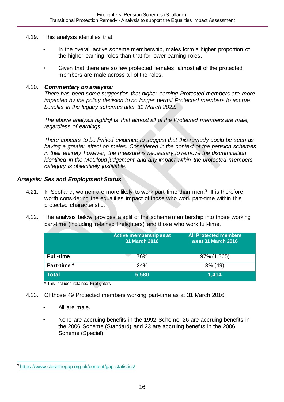- 4.19. This analysis identifies that:
	- In the overall active scheme membership, males form a higher proportion of the higher earning roles than that for lower earning roles.
	- Given that there are so few protected females, almost all of the protected members are male across all of the roles.

#### 4.20. *Commentary on analysis:*

*There has been some suggestion that higher earning Protected members are more impacted by the policy decision to no longer permit Protected members to accrue benefits in the legacy schemes after 31 March 2022.*

*The above analysis highlights that almost all of the Protected members are male, regardless of earnings.* 

*There appears to be limited evidence to suggest that this remedy could be seen as having a greater effect on males. Considered in the context of the pension schemes in their entirety however, the measure is necessary to remove the discrimination identified in the McCloud judgement and any impact within the protected members category is objectively justifiable.* 

#### *Analysis: Sex and Employment Status*

- 4.21. In Scotland, women are more likely to work part-time than men.<sup>3</sup> It is therefore worth considering the equalities impact of those who work part-time within this protected characteristic.
- 4.22. The analysis below provides a split of the scheme membership into those working part-time (including retained firefighters) and those who work full-time.

|                  | 31 March 2016 | as at 31 March 2016 |
|------------------|---------------|---------------------|
| <b>Full-time</b> | 76%           | 97% (1,365)         |
| Part-time *      | 24%           | $3\%$ (49)          |
| <b>Total</b>     | 5,580         | 1,414               |

\* This includes retained Firefighters

- 4.23. Of those 49 Protected members working part-time as at 31 March 2016:
	- All are male.
	- None are accruing benefits in the 1992 Scheme; 26 are accruing benefits in the 2006 Scheme (Standard) and 23 are accruing benefits in the 2006 Scheme (Special).

 $\overline{a}$ <sup>3</sup><https://www.closethegap.org.uk/content/gap-statistics/>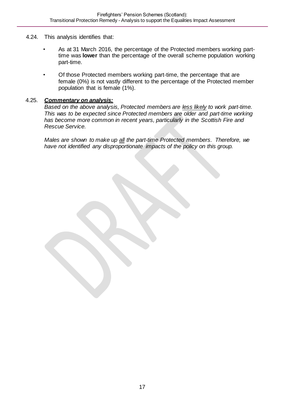- 4.24. This analysis identifies that:
	- As at 31 March 2016, the percentage of the Protected members working parttime was **lower** than the percentage of the overall scheme population working part-time.
	- Of those Protected members working part-time, the percentage that are female (0%) is not vastly different to the percentage of the Protected member population that is female (1%).

#### 4.25. *Commentary on analysis:*

*Based on the above analysis, Protected members are less likely to work part-time. This was to be expected since Protected members are older and part-time working has become more common in recent years, particularly in the Scottish Fire and Rescue Service.* 

*Males are shown to make up all the part-time Protected members. Therefore, we have not identified any disproportionate impacts of the policy on this group.*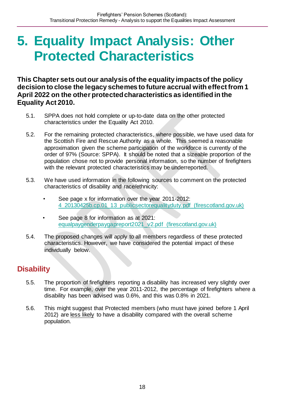## <span id="page-17-0"></span>**5. Equality Impact Analysis: Other Protected Characteristics**

**This Chapter sets out our analysis of the equality impacts of the policy decision to close the legacy schemes to future accrual with effect from 1 April 2022 on the other protected characteristics as identified in the Equality Act 2010.**

- 5.1. SPPA does not hold complete or up-to-date data on the other protected characteristics under the Equality Act 2010.
- 5.2. For the remaining protected characteristics, where possible, we have used data for the Scottish Fire and Rescue Authority as a whole. This seemed a reasonable approximation given the scheme participation of the workforce is currently of the order of 97% (Source: SPPA). It should be noted that a sizeable proportion of the population chose not to provide personal information, so the number of firefighters with the relevant protected characteristics may be underreported.
- 5.3. We have used information in the following sources to comment on the protected characteristics of disability and race/ethnicity:
	- See page x for information over the year 2011-2012: [4\\_20130425b.cp.01\\_13\\_publicsectorequalityduty.pdf \(firescotland.gov.uk\)](https://www.firescotland.gov.uk/media/999507/4_20130425b.cp.01_13_publicsectorequalityduty.pdf)
	- See page 8 for information as at 2021: [equalpaygenderpaygapreport2021\\_v2.pdf \(firescotland.gov.uk\)](https://www.firescotland.gov.uk/media/1143703/equalpaygenderpaygapreport2021_v2.pdf)
- 5.4. The proposed changes will apply to all members regardless of these protected characteristics. However, we have considered the potential impact of these individually below.

## **Disability**

- 5.5. The proportion of firefighters reporting a disability has increased very slightly over time. For example, over the year 2011-2012, the percentage of firefighters where a disability has been advised was 0.6%, and this was 0.8% in 2021.
- 5.6. This might suggest that Protected members (who must have joined before 1 April 2012) are less likely to have a disability compared with the overall scheme population.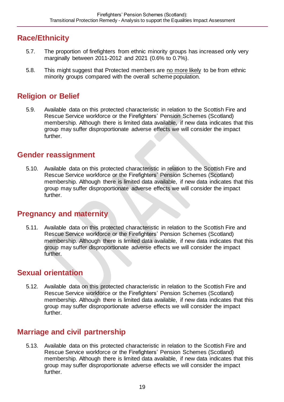## **Race/Ethnicity**

- 5.7. The proportion of firefighters from ethnic minority groups has increased only very marginally between 2011-2012 and 2021 (0.6% to 0.7%).
- 5.8. This might suggest that Protected members are no more likely to be from ethnic minority groups compared with the overall scheme population.

## **Religion or Belief**

5.9. Available data on this protected characteristic in relation to the Scottish Fire and Rescue Service workforce or the Firefighters' Pension Schemes (Scotland) membership. Although there is limited data available, if new data indicates that this group may suffer disproportionate adverse effects we will consider the impact further.

### **Gender reassignment**

5.10. Available data on this protected characteristic in relation to the Scottish Fire and Rescue Service workforce or the Firefighters' Pension Schemes (Scotland) membership. Although there is limited data available, if new data indicates that this group may suffer disproportionate adverse effects we will consider the impact further.

### **Pregnancy and maternity**

5.11. Available data on this protected characteristic in relation to the Scottish Fire and Rescue Service workforce or the Firefighters' Pension Schemes (Scotland) membership. Although there is limited data available, if new data indicates that this group may suffer disproportionate adverse effects we will consider the impact further.

## **Sexual orientation**

5.12. Available data on this protected characteristic in relation to the Scottish Fire and Rescue Service workforce or the Firefighters' Pension Schemes (Scotland) membership. Although there is limited data available, if new data indicates that this group may suffer disproportionate adverse effects we will consider the impact further.

## **Marriage and civil partnership**

5.13. Available data on this protected characteristic in relation to the Scottish Fire and Rescue Service workforce or the Firefighters' Pension Schemes (Scotland) membership. Although there is limited data available, if new data indicates that this group may suffer disproportionate adverse effects we will consider the impact further.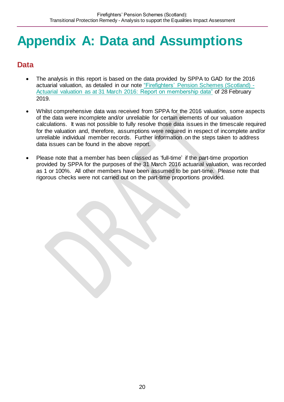# <span id="page-19-0"></span>**Appendix A: Data and Assumptions**

## **Data**

- The analysis in this report is based on the data provided by SPPA to GAD for the 2016 actuarial valuation, as detailed in our note "Firefighters' [Pension Schemes \(Scotland\) -](https://pensions.gov.scot/sites/default/files/2019-06/Fire%20Scotland%20-%20Data%20Report%20-%20Final%20-%2028%20Feb%202019.pdf) [Actuarial valuation as at 31 March 2016: Report on membership data"](https://pensions.gov.scot/sites/default/files/2019-06/Fire%20Scotland%20-%20Data%20Report%20-%20Final%20-%2028%20Feb%202019.pdf) of 28 February 2019.
- Whilst comprehensive data was received from SPPA for the 2016 valuation, some aspects of the data were incomplete and/or unreliable for certain elements of our valuation calculations. It was not possible to fully resolve those data issues in the timescale required for the valuation and, therefore, assumptions were required in respect of incomplete and/or unreliable individual member records. Further information on the steps taken to address data issues can be found in the above report.
- Please note that a member has been classed as 'full-time' if the part-time proportion provided by SPPA for the purposes of the 31 March 2016 actuarial valuation, was recorded as 1 or 100%. All other members have been assumed to be part-time. Please note that rigorous checks were not carried out on the part-time proportions provided.